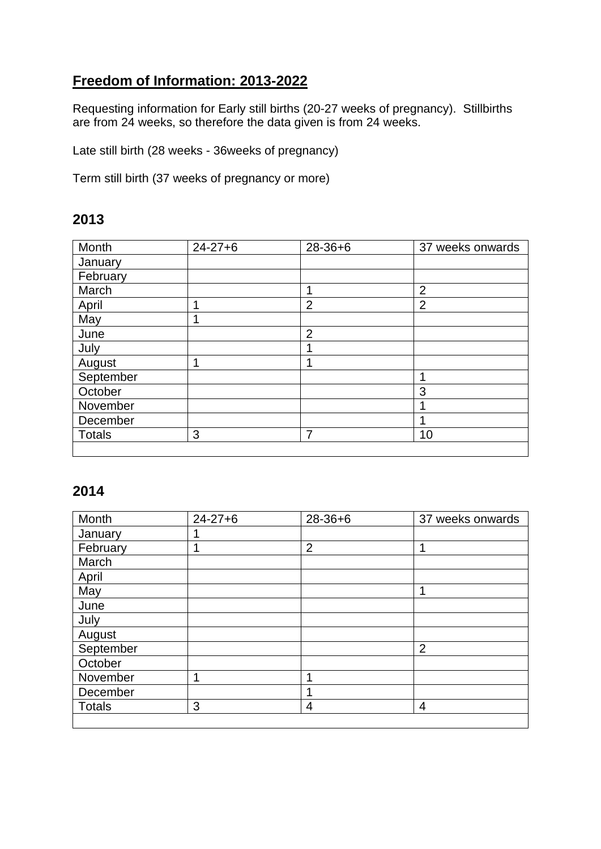## **Freedom of Information: 2013-2022**

Requesting information for Early still births (20-27 weeks of pregnancy). Stillbirths are from 24 weeks, so therefore the data given is from 24 weeks.

Late still birth (28 weeks - 36weeks of pregnancy)

Term still birth (37 weeks of pregnancy or more)

### **2013**

| Month         | $24 - 27 + 6$ | 28-36+6        | 37 weeks onwards |
|---------------|---------------|----------------|------------------|
| January       |               |                |                  |
| February      |               |                |                  |
| March         |               | ◢              | $\overline{2}$   |
| April         |               | $\overline{2}$ | $\overline{2}$   |
| May           |               |                |                  |
| June          |               | $\overline{2}$ |                  |
| July          |               |                |                  |
| August        | 1             | 4              |                  |
| September     |               |                |                  |
| October       |               |                | 3                |
| November      |               |                |                  |
| December      |               |                |                  |
| <b>Totals</b> | 3             | 7              | 10               |
|               |               |                |                  |

| Month         | $24 - 27 + 6$ | $28 - 36 + 6$  | 37 weeks onwards |
|---------------|---------------|----------------|------------------|
| January       |               |                |                  |
| February      | 4             | $\overline{2}$ | ◢                |
| March         |               |                |                  |
| April         |               |                |                  |
| May           |               |                | 4                |
| June          |               |                |                  |
| July          |               |                |                  |
| August        |               |                |                  |
| September     |               |                | $\overline{2}$   |
| October       |               |                |                  |
| November      | ٠             | 4              |                  |
| December      |               |                |                  |
| <b>Totals</b> | 3             | 4              | 4                |
|               |               |                |                  |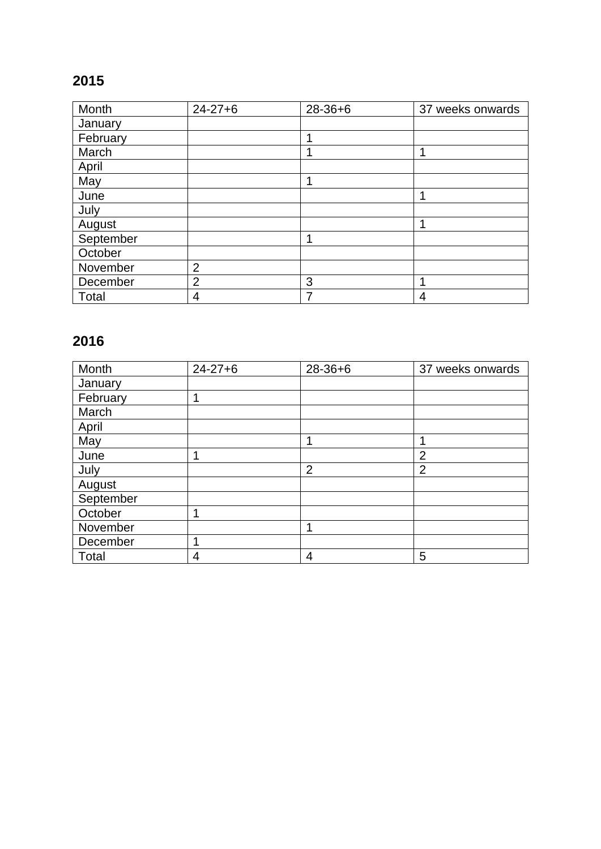| Month     | $24 - 27 + 6$  | $28 - 36 + 6$ | 37 weeks onwards |
|-----------|----------------|---------------|------------------|
| January   |                |               |                  |
| February  |                | 1             |                  |
| March     |                |               |                  |
| April     |                |               |                  |
| May       |                | 4             |                  |
| June      |                |               |                  |
| July      |                |               |                  |
| August    |                |               |                  |
| September |                | 1             |                  |
| October   |                |               |                  |
| November  | $\overline{2}$ |               |                  |
| December  | $\overline{2}$ | 3             |                  |
| Total     | 4              | 7             | 4                |

| Month     | $24 - 27 + 6$ | $28 - 36 + 6$  | 37 weeks onwards |
|-----------|---------------|----------------|------------------|
| January   |               |                |                  |
| February  |               |                |                  |
| March     |               |                |                  |
| April     |               |                |                  |
| May       |               | ◢              |                  |
| June      |               |                | $\overline{2}$   |
| July      |               | $\overline{2}$ | $\overline{2}$   |
| August    |               |                |                  |
| September |               |                |                  |
| October   |               |                |                  |
| November  |               | ◢              |                  |
| December  |               |                |                  |
| Total     | 4             | 4              | 5                |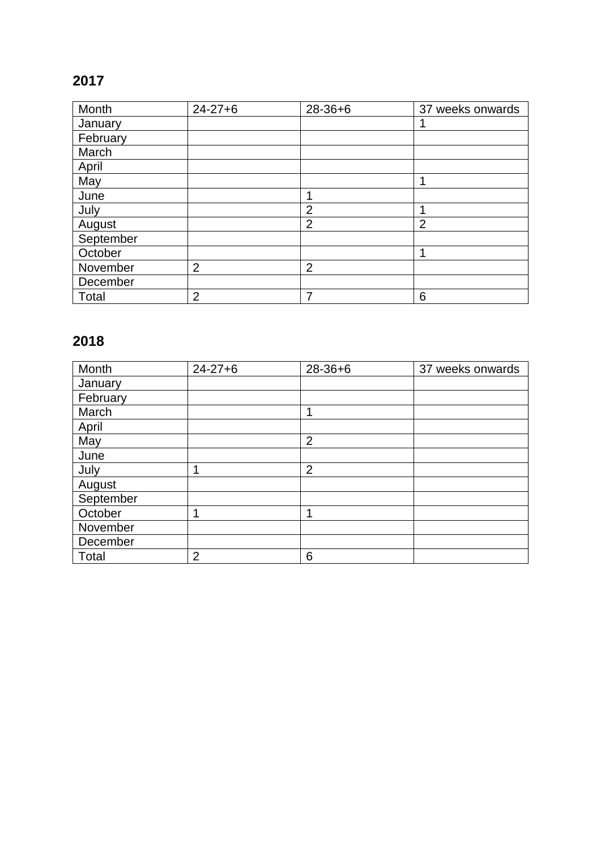| Month     | $24 - 27 + 6$  | $28 - 36 + 6$  | 37 weeks onwards |
|-----------|----------------|----------------|------------------|
| January   |                |                |                  |
| February  |                |                |                  |
| March     |                |                |                  |
| April     |                |                |                  |
| May       |                |                |                  |
| June      |                | 1              |                  |
| July      |                | $\overline{2}$ |                  |
| August    |                | $\overline{2}$ | $\overline{2}$   |
| September |                |                |                  |
| October   |                |                | 1                |
| November  | $\overline{2}$ | $\overline{2}$ |                  |
| December  |                |                |                  |
| Total     | $\overline{2}$ | 7              | 6                |

| Month     | $24 - 27 + 6$  | $28 - 36 + 6$  | 37 weeks onwards |
|-----------|----------------|----------------|------------------|
| January   |                |                |                  |
| February  |                |                |                  |
| March     |                | 4              |                  |
| April     |                |                |                  |
| May       |                | $\overline{2}$ |                  |
| June      |                |                |                  |
| July      |                | $\overline{2}$ |                  |
| August    |                |                |                  |
| September |                |                |                  |
| October   |                | 1              |                  |
| November  |                |                |                  |
| December  |                |                |                  |
| Total     | $\overline{2}$ | 6              |                  |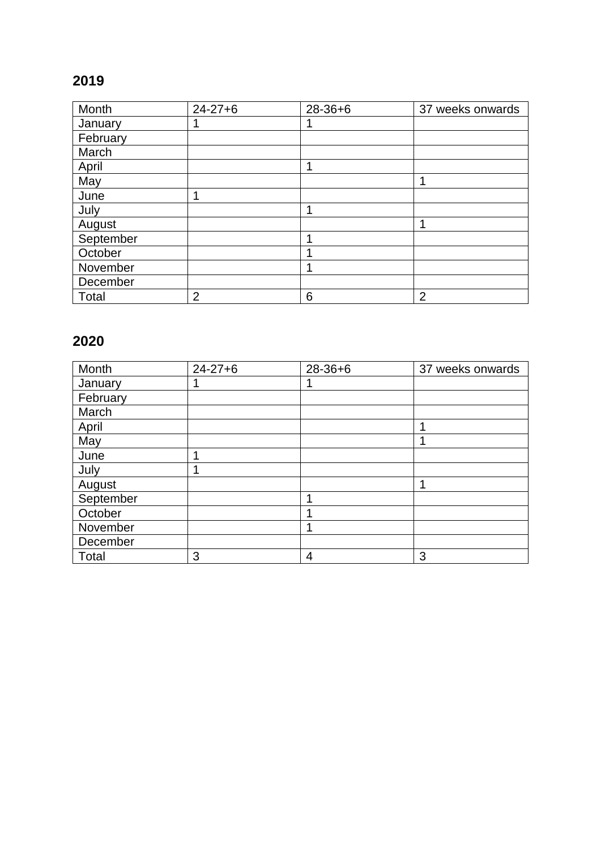| Month     | $24 - 27 + 6$  | $28 - 36 + 6$ | 37 weeks onwards |
|-----------|----------------|---------------|------------------|
| January   |                |               |                  |
| February  |                |               |                  |
| March     |                |               |                  |
| April     |                | 1             |                  |
| May       |                |               |                  |
| June      |                |               |                  |
| July      |                |               |                  |
| August    |                |               |                  |
| September |                | и             |                  |
| October   |                |               |                  |
| November  |                |               |                  |
| December  |                |               |                  |
| Total     | $\overline{2}$ | 6             | $\overline{2}$   |

| Month     | $24 - 27 + 6$ | $28 - 36 + 6$ | 37 weeks onwards |
|-----------|---------------|---------------|------------------|
| January   |               |               |                  |
| February  |               |               |                  |
| March     |               |               |                  |
| April     |               |               |                  |
| May       |               |               |                  |
| June      |               |               |                  |
| July      |               |               |                  |
| August    |               |               |                  |
| September |               | и             |                  |
| October   |               |               |                  |
| November  |               |               |                  |
| December  |               |               |                  |
| Total     | 3             | 4             | 3                |